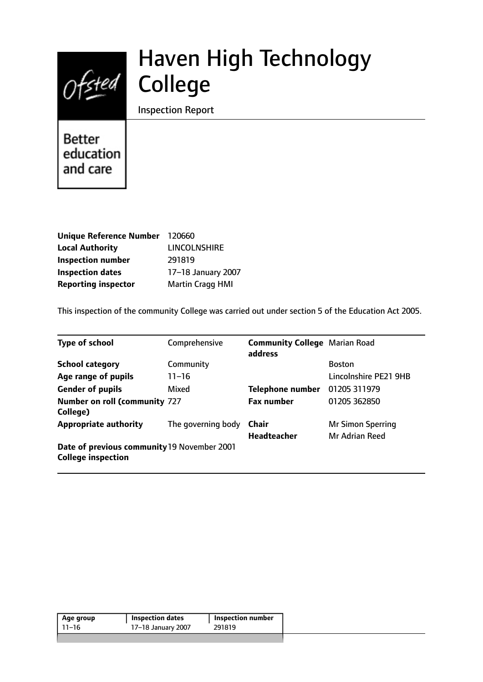

# Haven High Technology College

Inspection Report

**Better** education and care

| <b>Unique Reference Number</b> | 120660                  |
|--------------------------------|-------------------------|
| <b>Local Authority</b>         | <b>LINCOLNSHIRE</b>     |
| <b>Inspection number</b>       | 291819                  |
| <b>Inspection dates</b>        | 17-18 January 2007      |
| <b>Reporting inspector</b>     | <b>Martin Cragg HMI</b> |

This inspection of the community College was carried out under section 5 of the Education Act 2005.

| <b>Type of school</b>                                                    | Comprehensive      | <b>Community College</b> Marian Road<br>address |                          |
|--------------------------------------------------------------------------|--------------------|-------------------------------------------------|--------------------------|
| <b>School category</b>                                                   | Community          |                                                 | <b>Boston</b>            |
| Age range of pupils                                                      | $11 - 16$          |                                                 | Lincolnshire PE21 9HB    |
| <b>Gender of pupils</b>                                                  | Mixed              | <b>Telephone number</b>                         | 01205 311979             |
| <b>Number on roll (community 727</b><br>College)                         |                    | <b>Fax number</b>                               | 01205 362850             |
| <b>Appropriate authority</b>                                             | The governing body | Chair                                           | <b>Mr Simon Sperring</b> |
|                                                                          |                    | <b>Headteacher</b>                              | Mr Adrian Reed           |
| Date of previous community 19 November 2001<br><b>College inspection</b> |                    |                                                 |                          |

| 291819<br>17-18 January 2007<br>-11–16 | Age group | <b>Inspection dates</b> | <b>Inspection number</b> |  |
|----------------------------------------|-----------|-------------------------|--------------------------|--|
|                                        |           |                         |                          |  |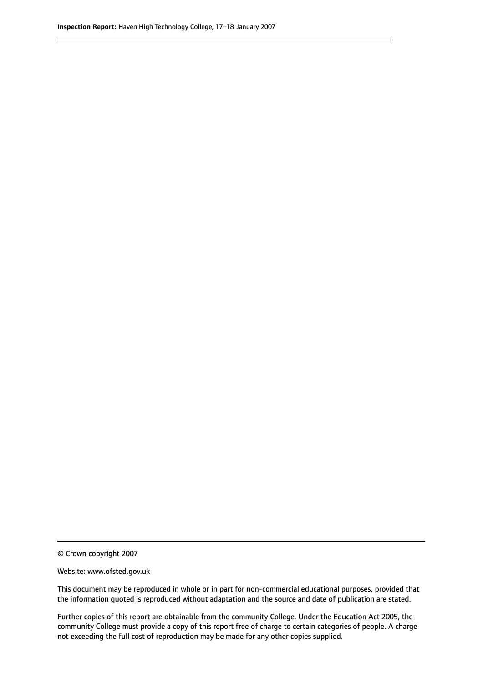© Crown copyright 2007

Website: www.ofsted.gov.uk

This document may be reproduced in whole or in part for non-commercial educational purposes, provided that the information quoted is reproduced without adaptation and the source and date of publication are stated.

Further copies of this report are obtainable from the community College. Under the Education Act 2005, the community College must provide a copy of this report free of charge to certain categories of people. A charge not exceeding the full cost of reproduction may be made for any other copies supplied.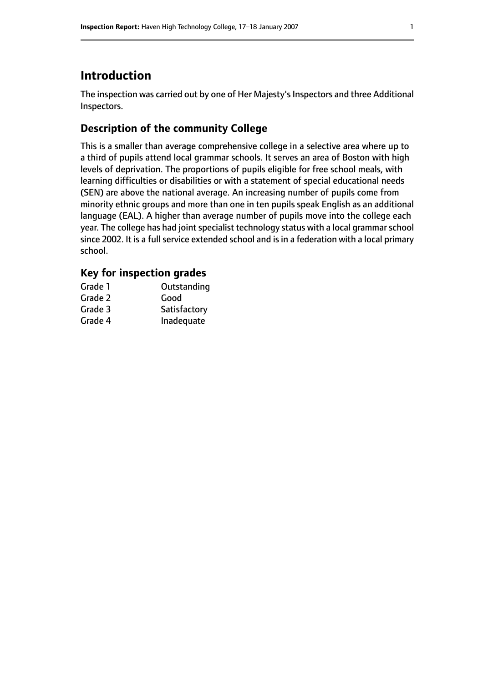# **Introduction**

The inspection was carried out by one of Her Majesty's Inspectors and three Additional Inspectors.

## **Description of the community College**

This is a smaller than average comprehensive college in a selective area where up to a third of pupils attend local grammar schools. It serves an area of Boston with high levels of deprivation. The proportions of pupils eligible for free school meals, with learning difficulties or disabilities or with a statement of special educational needs (SEN) are above the national average. An increasing number of pupils come from minority ethnic groups and more than one in ten pupils speak English as an additional language (EAL). A higher than average number of pupils move into the college each year. The college has had joint specialist technology status with a local grammar school since 2002. It is a full service extended school and is in a federation with a local primary school.

## **Key for inspection grades**

| Outstanding  |
|--------------|
| Good         |
| Satisfactory |
| Inadequate   |
|              |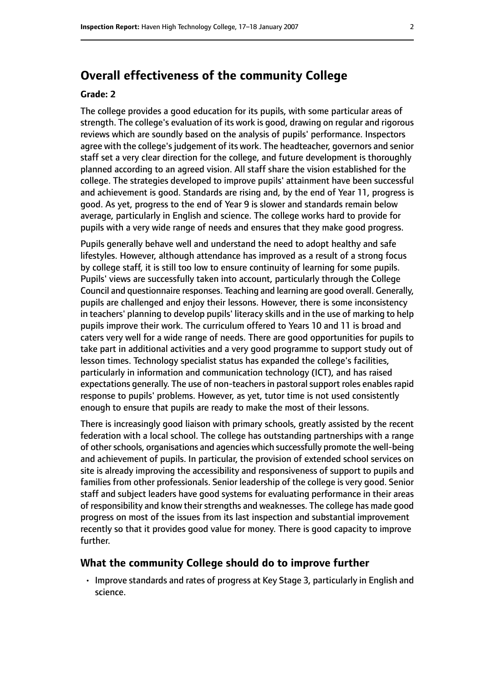# **Overall effectiveness of the community College**

#### **Grade: 2**

The college provides a good education for its pupils, with some particular areas of strength. The college's evaluation of its work is good, drawing on regular and rigorous reviews which are soundly based on the analysis of pupils' performance. Inspectors agree with the college's judgement of its work. The headteacher, governors and senior staff set a very clear direction for the college, and future development is thoroughly planned according to an agreed vision. All staff share the vision established for the college. The strategies developed to improve pupils' attainment have been successful and achievement is good. Standards are rising and, by the end of Year 11, progress is good. As yet, progress to the end of Year 9 is slower and standards remain below average, particularly in English and science. The college works hard to provide for pupils with a very wide range of needs and ensures that they make good progress.

Pupils generally behave well and understand the need to adopt healthy and safe lifestyles. However, although attendance has improved as a result of a strong focus by college staff, it is still too low to ensure continuity of learning for some pupils. Pupils' views are successfully taken into account, particularly through the College Council and questionnaire responses. Teaching and learning are good overall. Generally, pupils are challenged and enjoy their lessons. However, there is some inconsistency in teachers' planning to develop pupils' literacy skills and in the use of marking to help pupils improve their work. The curriculum offered to Years 10 and 11 is broad and caters very well for a wide range of needs. There are good opportunities for pupils to take part in additional activities and a very good programme to support study out of lesson times. Technology specialist status has expanded the college's facilities, particularly in information and communication technology (ICT), and has raised expectations generally. The use of non-teachers in pastoral support roles enables rapid response to pupils' problems. However, as yet, tutor time is not used consistently enough to ensure that pupils are ready to make the most of their lessons.

There is increasingly good liaison with primary schools, greatly assisted by the recent federation with a local school. The college has outstanding partnerships with a range of other schools, organisations and agencies which successfully promote the well-being and achievement of pupils. In particular, the provision of extended school services on site is already improving the accessibility and responsiveness of support to pupils and families from other professionals. Senior leadership of the college is very good. Senior staff and subject leaders have good systems for evaluating performance in their areas of responsibility and know their strengths and weaknesses. The college has made good progress on most of the issues from its last inspection and substantial improvement recently so that it provides good value for money. There is good capacity to improve further.

## **What the community College should do to improve further**

• Improve standards and rates of progress at Key Stage 3, particularly in English and science.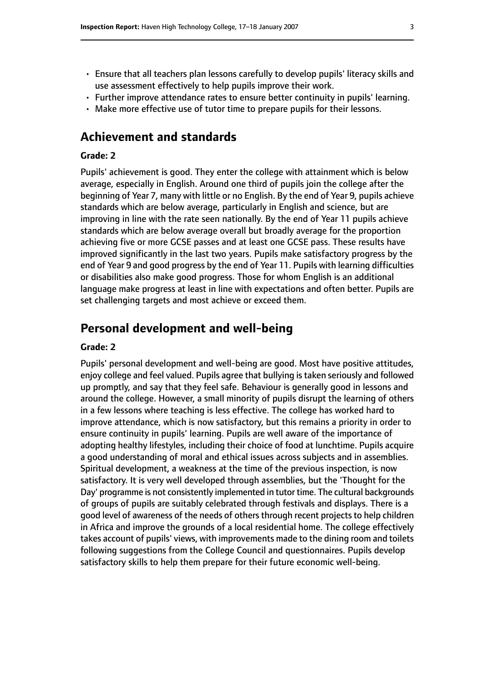- Ensure that all teachers plan lessons carefully to develop pupils' literacy skills and use assessment effectively to help pupils improve their work.
- Further improve attendance rates to ensure better continuity in pupils' learning.
- Make more effective use of tutor time to prepare pupils for their lessons.

## **Achievement and standards**

## **Grade: 2**

Pupils' achievement is good. They enter the college with attainment which is below average, especially in English. Around one third of pupils join the college after the beginning of Year 7, many with little or no English. By the end of Year 9, pupils achieve standards which are below average, particularly in English and science, but are improving in line with the rate seen nationally. By the end of Year 11 pupils achieve standards which are below average overall but broadly average for the proportion achieving five or more GCSE passes and at least one GCSE pass. These results have improved significantly in the last two years. Pupils make satisfactory progress by the end of Year 9 and good progress by the end of Year 11. Pupils with learning difficulties or disabilities also make good progress. Those for whom English is an additional language make progress at least in line with expectations and often better. Pupils are set challenging targets and most achieve or exceed them.

## **Personal development and well-being**

#### **Grade: 2**

Pupils' personal development and well-being are good. Most have positive attitudes, enjoy college and feel valued. Pupils agree that bullying istaken seriously and followed up promptly, and say that they feel safe. Behaviour is generally good in lessons and around the college. However, a small minority of pupils disrupt the learning of others in a few lessons where teaching is less effective. The college has worked hard to improve attendance, which is now satisfactory, but this remains a priority in order to ensure continuity in pupils' learning. Pupils are well aware of the importance of adopting healthy lifestyles, including their choice of food at lunchtime. Pupils acquire a good understanding of moral and ethical issues across subjects and in assemblies. Spiritual development, a weakness at the time of the previous inspection, is now satisfactory. It is very well developed through assemblies, but the 'Thought for the Day' programme is not consistently implemented in tutor time. The cultural backgrounds of groups of pupils are suitably celebrated through festivals and displays. There is a good level of awareness of the needs of others through recent projects to help children in Africa and improve the grounds of a local residential home. The college effectively takes account of pupils' views, with improvements made to the dining room and toilets following suggestions from the College Council and questionnaires. Pupils develop satisfactory skills to help them prepare for their future economic well-being.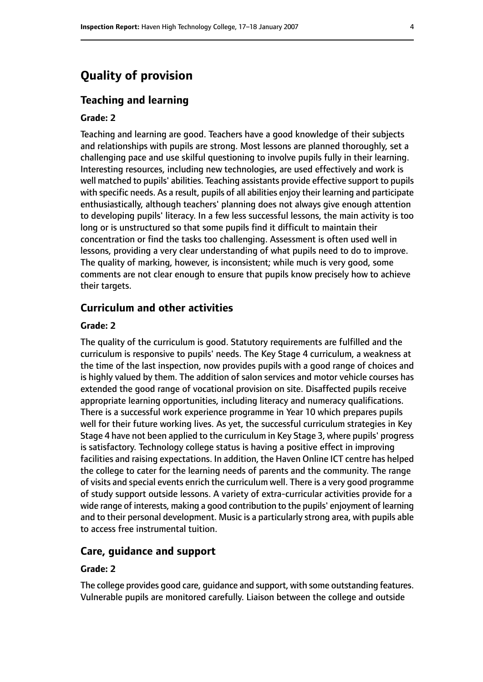# **Quality of provision**

## **Teaching and learning**

#### **Grade: 2**

Teaching and learning are good. Teachers have a good knowledge of their subjects and relationships with pupils are strong. Most lessons are planned thoroughly, set a challenging pace and use skilful questioning to involve pupils fully in their learning. Interesting resources, including new technologies, are used effectively and work is well matched to pupils' abilities. Teaching assistants provide effective support to pupils with specific needs. As a result, pupils of all abilities enjoy their learning and participate enthusiastically, although teachers' planning does not always give enough attention to developing pupils' literacy. In a few less successful lessons, the main activity is too long or is unstructured so that some pupils find it difficult to maintain their concentration or find the tasks too challenging. Assessment is often used well in lessons, providing a very clear understanding of what pupils need to do to improve. The quality of marking, however, is inconsistent; while much is very good, some comments are not clear enough to ensure that pupils know precisely how to achieve their targets.

## **Curriculum and other activities**

#### **Grade: 2**

The quality of the curriculum is good. Statutory requirements are fulfilled and the curriculum is responsive to pupils' needs. The Key Stage 4 curriculum, a weakness at the time of the last inspection, now provides pupils with a good range of choices and is highly valued by them. The addition of salon services and motor vehicle courses has extended the good range of vocational provision on site. Disaffected pupils receive appropriate learning opportunities, including literacy and numeracy qualifications. There is a successful work experience programme in Year 10 which prepares pupils well for their future working lives. As yet, the successful curriculum strategies in Key Stage 4 have not been applied to the curriculum in Key Stage 3, where pupils' progress is satisfactory. Technology college status is having a positive effect in improving facilities and raising expectations. In addition, the Haven Online ICT centre has helped the college to cater for the learning needs of parents and the community. The range of visits and special events enrich the curriculum well. There is a very good programme of study support outside lessons. A variety of extra-curricular activities provide for a wide range of interests, making a good contribution to the pupils' enjoyment of learning and to their personal development. Music is a particularly strong area, with pupils able to access free instrumental tuition.

## **Care, guidance and support**

#### **Grade: 2**

The college provides good care, guidance and support, with some outstanding features. Vulnerable pupils are monitored carefully. Liaison between the college and outside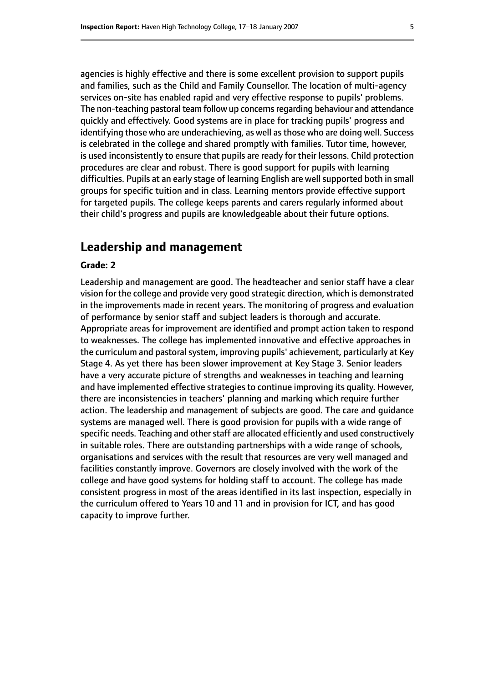agencies is highly effective and there is some excellent provision to support pupils and families, such as the Child and Family Counsellor. The location of multi-agency services on-site has enabled rapid and very effective response to pupils' problems. The non-teaching pastoral team follow up concernsregarding behaviour and attendance quickly and effectively. Good systems are in place for tracking pupils' progress and identifying those who are underachieving, as well as those who are doing well. Success is celebrated in the college and shared promptly with families. Tutor time, however, is used inconsistently to ensure that pupils are ready for their lessons. Child protection procedures are clear and robust. There is good support for pupils with learning difficulties. Pupils at an early stage of learning English are well supported both in small groups for specific tuition and in class. Learning mentors provide effective support for targeted pupils. The college keeps parents and carers regularly informed about their child's progress and pupils are knowledgeable about their future options.

## **Leadership and management**

### **Grade: 2**

Leadership and management are good. The headteacher and senior staff have a clear vision for the college and provide very good strategic direction, which is demonstrated in the improvements made in recent years. The monitoring of progress and evaluation of performance by senior staff and subject leaders is thorough and accurate. Appropriate areas for improvement are identified and prompt action taken to respond to weaknesses. The college has implemented innovative and effective approaches in the curriculum and pastoral system, improving pupils' achievement, particularly at Key Stage 4. As yet there has been slower improvement at Key Stage 3. Senior leaders have a very accurate picture of strengths and weaknesses in teaching and learning and have implemented effective strategies to continue improving its quality. However, there are inconsistencies in teachers' planning and marking which require further action. The leadership and management of subjects are good. The care and guidance systems are managed well. There is good provision for pupils with a wide range of specific needs. Teaching and other staff are allocated efficiently and used constructively in suitable roles. There are outstanding partnerships with a wide range of schools, organisations and services with the result that resources are very well managed and facilities constantly improve. Governors are closely involved with the work of the college and have good systems for holding staff to account. The college has made consistent progress in most of the areas identified in its last inspection, especially in the curriculum offered to Years 10 and 11 and in provision for ICT, and has good capacity to improve further.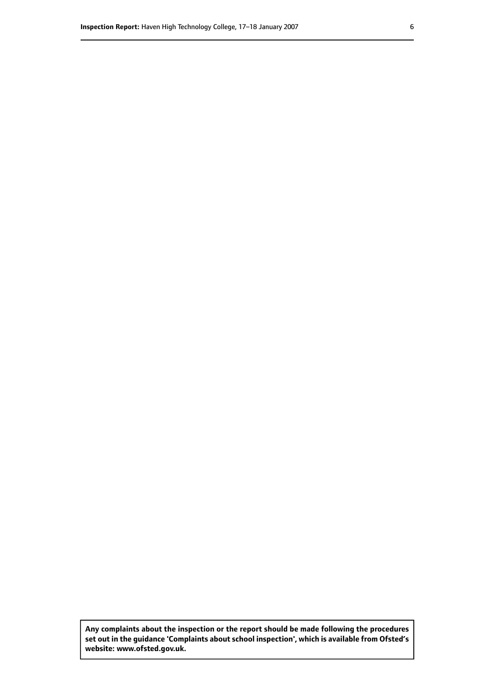**Any complaints about the inspection or the report should be made following the procedures set out inthe guidance 'Complaints about school inspection', whichis available from Ofsted's website: www.ofsted.gov.uk.**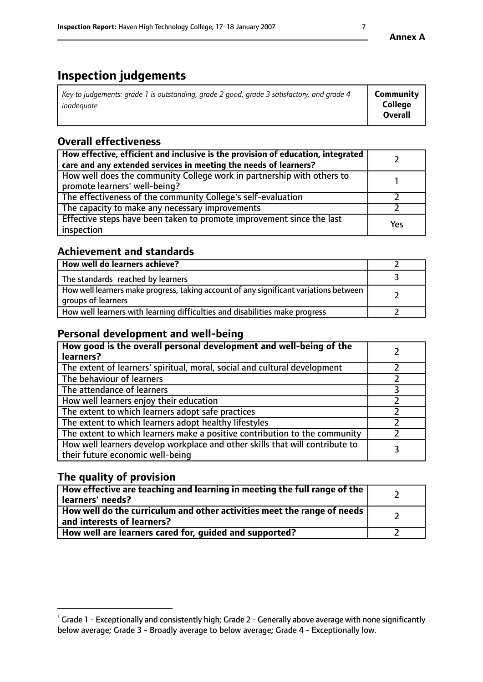# **Inspection judgements**

| Key to judgements: grade 1 is outstanding, grade 2 good, grade 3 satisfactory, and grade 4<br>inadeauate | Community<br><b>College</b><br><b>Overall</b> |
|----------------------------------------------------------------------------------------------------------|-----------------------------------------------|
|                                                                                                          |                                               |

# **Overall effectiveness**

| How effective, efficient and inclusive is the provision of education, integrated<br>care and any extended services in meeting the needs of learners? |     |
|------------------------------------------------------------------------------------------------------------------------------------------------------|-----|
| How well does the community College work in partnership with others to<br>promote learners' well-being?                                              |     |
| The effectiveness of the community College's self-evaluation                                                                                         |     |
| The capacity to make any necessary improvements                                                                                                      |     |
| Effective steps have been taken to promote improvement since the last<br>inspection                                                                  | Yes |

## **Achievement and standards**

| How well do learners achieve?                                                                               |  |
|-------------------------------------------------------------------------------------------------------------|--|
| The standards <sup>1</sup> reached by learners                                                              |  |
| How well learners make progress, taking account of any significant variations between<br>groups of learners |  |
| How well learners with learning difficulties and disabilities make progress                                 |  |

# **Personal development and well-being**

| How good is the overall personal development and well-being of the<br>learners?                                  |  |
|------------------------------------------------------------------------------------------------------------------|--|
| The extent of learners' spiritual, moral, social and cultural development                                        |  |
| The behaviour of learners                                                                                        |  |
| The attendance of learners                                                                                       |  |
| How well learners enjoy their education                                                                          |  |
| The extent to which learners adopt safe practices                                                                |  |
| The extent to which learners adopt healthy lifestyles                                                            |  |
| The extent to which learners make a positive contribution to the community                                       |  |
| How well learners develop workplace and other skills that will contribute to<br>their future economic well-being |  |

## **The quality of provision**

| How effective are teaching and learning in meeting the full range of the<br>  learners' needs?                             |  |
|----------------------------------------------------------------------------------------------------------------------------|--|
| $\mid$ How well do the curriculum and other activities meet the range of needs $\mid$<br>$\mid$ and interests of learners? |  |
| How well are learners cared for, quided and supported?                                                                     |  |

 $^1$  Grade 1 - Exceptionally and consistently high; Grade 2 - Generally above average with none significantly below average; Grade 3 - Broadly average to below average; Grade 4 - Exceptionally low.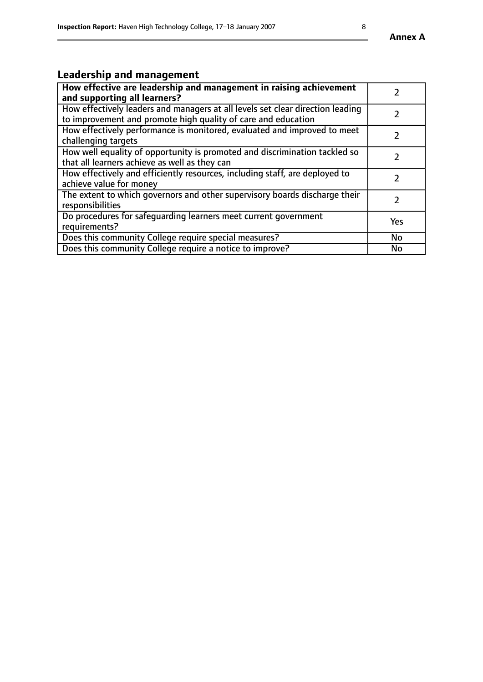# **Leadership and management**

| How effective are leadership and management in raising achievement<br>and supporting all learners?                                              |           |
|-------------------------------------------------------------------------------------------------------------------------------------------------|-----------|
| How effectively leaders and managers at all levels set clear direction leading<br>to improvement and promote high quality of care and education |           |
| How effectively performance is monitored, evaluated and improved to meet<br>challenging targets                                                 |           |
| How well equality of opportunity is promoted and discrimination tackled so<br>that all learners achieve as well as they can                     |           |
| How effectively and efficiently resources, including staff, are deployed to<br>achieve value for money                                          |           |
| The extent to which governors and other supervisory boards discharge their<br>responsibilities                                                  |           |
| Do procedures for safequarding learners meet current government<br>requirements?                                                                | Yes       |
| Does this community College require special measures?                                                                                           | No        |
| Does this community College require a notice to improve?                                                                                        | <b>No</b> |